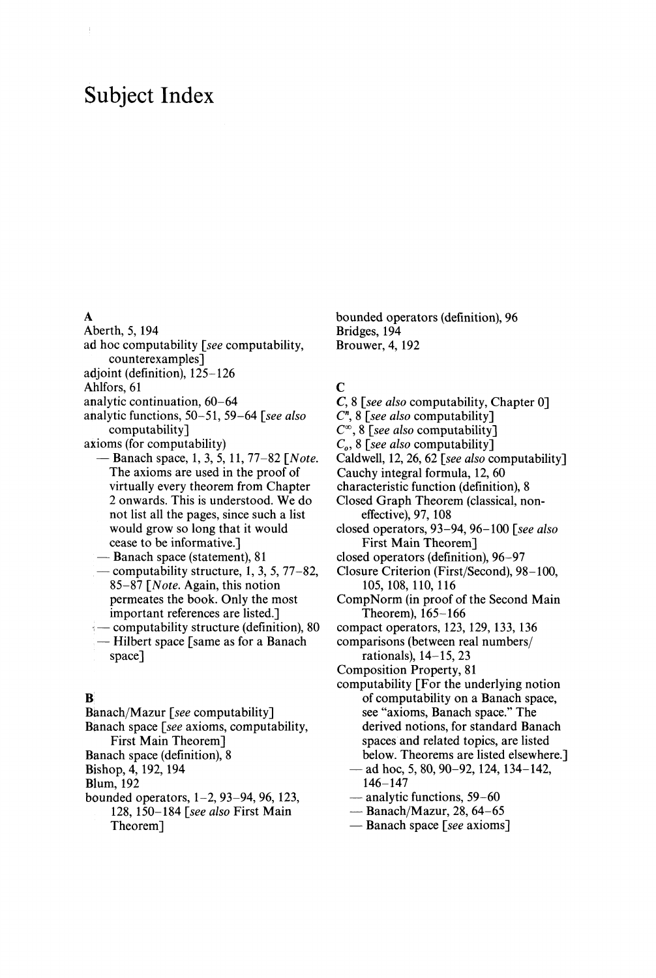# Subject Index

- Aberth, 5, 194
- ad hoc computability *[see* computability, counterexamples]
- adjoint (definition), 125-126

Ahlfors, 61

analytic continuation, 60-64

- analytic functions, 50-51, 59-64 *[see also* computability]
- axioms (for computability)
	- Banach space, 1, 3, 5, 11, 77-82 *[Note.* The axioms are used in the proof of virtually every theorem from Chapter 2 onwards. This is understood. We do not list all the pages, since such a list would grow so long that it would cease to be informative.]
	- Banach space (statement), 81 — computability structure, 1, 3, 5, 77-82,
	- 85-87 *[Note.* Again, this notion permeates the book. Only the most important references are listed.]
	- computability structure (definition), 80 — Hilbert space [same as for a Banach
	- space]

#### B

- Banach/Mazur *[see* computability]
- Banach space *[see* axioms, computability, First Main Theorem]
- Banach space (definition), 8
- Bishop, 4, 192, 194

Blum, 192

bounded operators, 1-2, 93-94, 96, 123, 128, 150-184 *[see also* First Main Theorem]

bounded operators (definition), 96 Bridges, 194 Brouwer, 4, 192

# $\mathbf C$

- C, 8 *[see also* computability, Chapter 0]
- *C n ,* 8 *[see also* computability]
- $C^{\infty}$ , 8 [see also computability]
- C<sub>o</sub>, 8 [see also computability]
- Caldwell, 12, 26, 62 *[see also* computability]
- Cauchy integral formula, 12, 60
- characteristic function (definition), 8
- Closed Graph Theorem (classical, noneffective), 97, 108
- closed operators, 93-94, 96-100 *[see also* First Main Theorem]
- closed operators (definition), 96-97
- Closure Criterion (First/Second), 98-100, 105,108,110,116
- CompNorm (in proof of the Second Main Theorem), 165-166
- compact operators, 123, 129, 133, 136
- comparisons (between real numbers/ rationals), 14-15,23
- Composition Property, 81
- computability [For the underlying notion of computability on a Banach space, see "axioms, Banach space." The derived notions, for standard Banach spaces and related topics, are listed below. Theorems are listed elsewhere.]
	- ad hoc, 5, 80, 90-92, 124, 134-142, 146-147
	- analytic functions, 59-60
	- Banach/Mazur, 28, 64-65
	- Banach space *[see* axioms]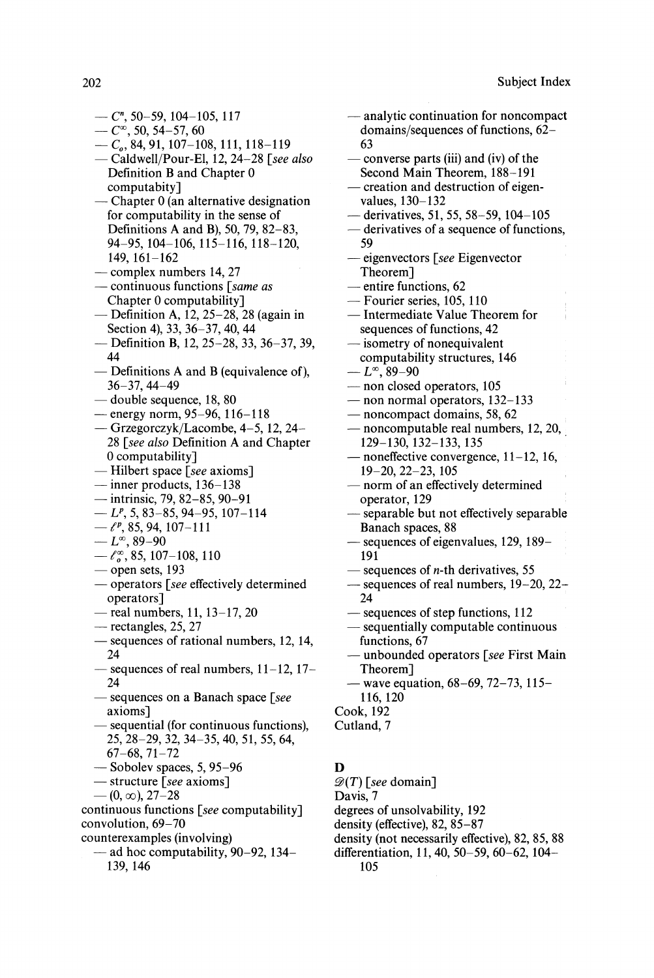- $-$  C<sup>n</sup>, 50-59, 104-105, 117
- $-C^{\infty}$ , 50, 54-57, 60
- — *C<sup>o</sup> ,* 84, 91, 107-108, 111, 118-119
- Caldwell/Pour-El, 12, 24-28 *[see also* Definition B and Chapter 0 computabity]
- Chapter 0 (an alternative designation for computability in the sense of Definitions A and B), 50, 79, 82-83, 94-95, 104-106, 115-116, 118-120, 149, 161-162
- complex numbers 14, 27
- continuous functions *[same as* Chapter 0 computability]
- Definition A, 12, 25-28, 28 (again in Section 4), 33, 36-37, 40, 44
- Definition B, 12, 25-28, 33, 36-37, 39, 44
- Definitions A and B (equivalence of), 36-37, 44-49
- double sequence, 18, 80
- energy norm, 95-96, 116-118
- Grzegorczyk/Lacombe, 4-5, 12, 24 28 *[see also* Definition A and Chapter 0 computability]
- Hubert space *[see* axioms]
- inner products, 136-138
- intrinsic, 79, 82-85, 90-91
- $-L^p$ , 5, 83–85, 94–95, 107–114
- $-\ell^p, 85,94,107-111$
- $-L^{\infty}$ , 89-90
- $-\ell_0^{\infty}$ , 85, 107-108, 110
- open sets, 193
- operators *[see* effectively determined operators]
- real numbers, 11, 13-17, 20
- rectangles, 25, 27
- sequences of rational numbers, 12, 14, 24
- sequences of real numbers,  $11-12$ ,  $17-$ 24
- sequences on a Banach space *[see* axioms]
- sequential (for continuous functions), 25, 28-29, 32, 34-35, 40, 51, 55, 64,
- 67-68, 71-72
- Sobolev spaces, 5, 95-96
- structure *[see* axioms]
- $-$  (0,  $\infty$ ), 27–28

continuous functions *[see* computability] convolution, 69-70 counterexamples (involving)

— ad hoc computability, 90-92, 134 139, 146

- analytic continuation for noncompact domains/sequences of functions, 62 63
- converse parts (iii) and (iv) of the Second Main Theorem, 188-191
- creation and destruction of eigen values, 130-132
- derivatives, 51, 55, 58-59,104-105
- derivatives of a sequence of functions, 59
- eigenvectors *[see* Eigenvector Theorem]
- entire functions, 62
- Fourier series, 105, 110
- Intermediate Value Theorem for sequences of functions, 42
- isometry of nonequivalent computability structures, 146
- $-L^{\infty}$ , 89–90
- non closed operators, 105
- non normal operators, 132-133
- noncompact domains, 58, 62
- noncomputable real numbers, 12, 20, 129-130, 132-133, 135
- noneffective convergence, 11-12, 16, 19-20, 22-23, 105
- norm of an effectively determined operator, 129
- separable but not effectively separable Banach spaces, 88
- sequences of eigenvalues, 129, 189— 191
- $-$  sequences of *n*-th derivatives, 55
- sequences of real numbers, 19–20, 22– 24
- sequences of step functions, 112
- sequentially computable continuous functions, 67
- unbounded operators *[see* First Main Theorem]
- wave equation, 68-69, 72-73, 115 116,120
- Cook, 192
- Cutland, 7

# $\mathbf D$

- $\mathscr{D}(T)$  [see domain]
- Davis, 7
- degrees of unsolvability, 192
- density (effective), 82, 85-87
- density (not necessarily effective), 82, 85, 88
- differentiation, 11,40, 50-59, 60-62, 104 105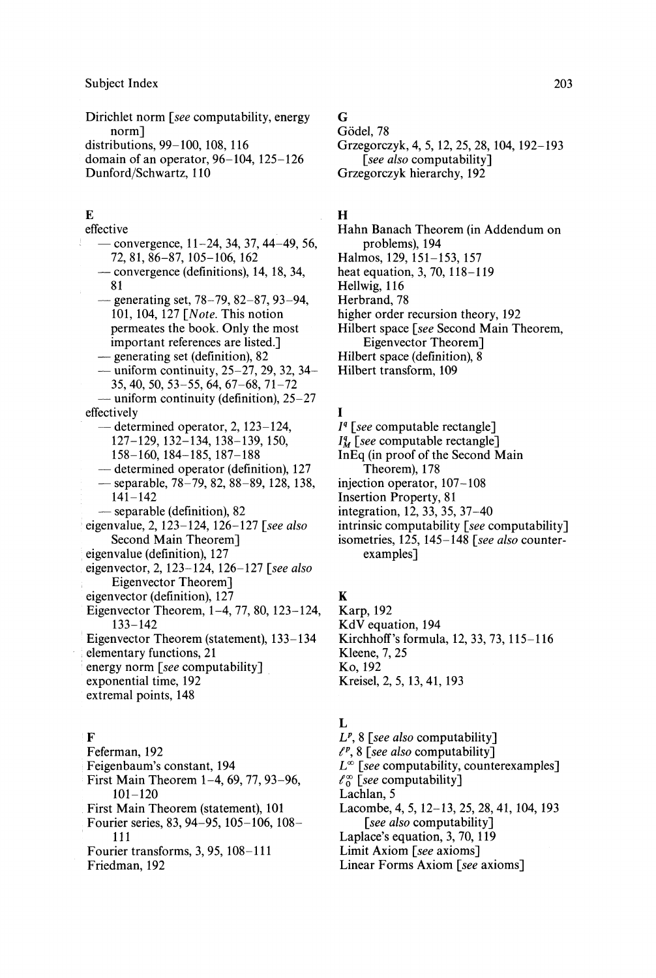Dirichlet norm *[see* computability, energy norm] distributions, 99-100, 108, 116 domain of an operator, 96-104, 125-126 Dunford/Schwartz, 110

### E

effective — convergence, 11-24, 34, 37, 44-49, 56, 72,81,86-87,105-106,162 — convergence (definitions), 14, 18, 34, 81 — generating set, 78-79, 82-87, 93-94, 101, 104, 127 *[Note.* This notion permeates the book. Only the most important references are listed.] — generating set (definition), 82 — uniform continuity,  $25-27$ ,  $29$ ,  $32$ ,  $34-$ 35, 40, 50, 53-55, 64, 67-68, 71-72 — uniform continuity (definition), 25-27 effectively — determined operator, 2, 123-124, 127-129, 132-134, 138-139, 150, 158-160, 184-185, 187-188 — determined operator (definition), 127 — separable, 78-79, 82, 88-89, 128, 138, 141-142 — separable (definition), 82 eigenvalue, 2, 123-124, 126-127 *[see also* Second Main Theorem] eigenvalue (definition), 127 eigenvector, 2, 123-124, 126-127 *[see also* Eigenvector Theorem] eigenvector (definition), 127 Eigenvector Theorem, 1-4, 77, 80, 123-124, 133-142 Eigenvector Theorem (statement), 133-134 elementary functions, 21 energy norm *[see* computability] exponential time, 192 extremal points, 148

# $\mathbf{F}$

Feferman, 192 Feigenbaum's constant, 194 First Main Theorem 1-4, 69, 77, 93-96, 101-120 First Main Theorem (statement), 101 Fourier series, 83, 94-95, 105-106, 108 111 Fourier transforms, 3, 95, 108-111 Friedman, 192

# G

Gödel, 78 Grzegorczyk, 4, 5, 12, 25, 28, 104, 192-193 *[see also* computability] Grzegorczyk hierarchy, 192

# H

- Hahn Banach Theorem (in Addendum on problems), 194 Halmos, 129, 151-153, 157 heat equation, 3, 70, 118-119 Hellwig, 116 Herbrand, 78 higher order recursion theory, 192 Hilbert space *[see Second Main Theorem,* Eigenvector Theorem] Hilbert space (definition), 8
- Hilbert transform, 109

### I

- *I 9 [see* computable rectangle]
- *I<sup>4</sup>* [see computable rectangle]
- InEq (in proof of the Second Main Theorem), 178
- injection operator, 107-108
- Insertion Property, 81
- integration, 12, 33, 35, 37-40
- intrinsic computability *[see* computability]
- isometries, 125, 145-148 *[see also* counter examples]

# K

Karp, 192 KdV equation, 194 Kirchhoff's formula, 12, 33, 73,115-116 Kleene, 7, 25 Ko, 192 Kreisel, 2, 5, 13, 41, 193

# L

*L p ,* 8 *[see also* computability] / p , 8 *[see also* computability] *U° [see* computability, counterexamples] *ίo [see* computability] Lachlan, 5 Lacombe, 4, 5,12-13, 25, 28, 41,104, 193 *[see also* computability] Laplace's equation, 3, 70,119 Limit Axiom *[see* axioms] Linear Forms Axiom *[see* axioms]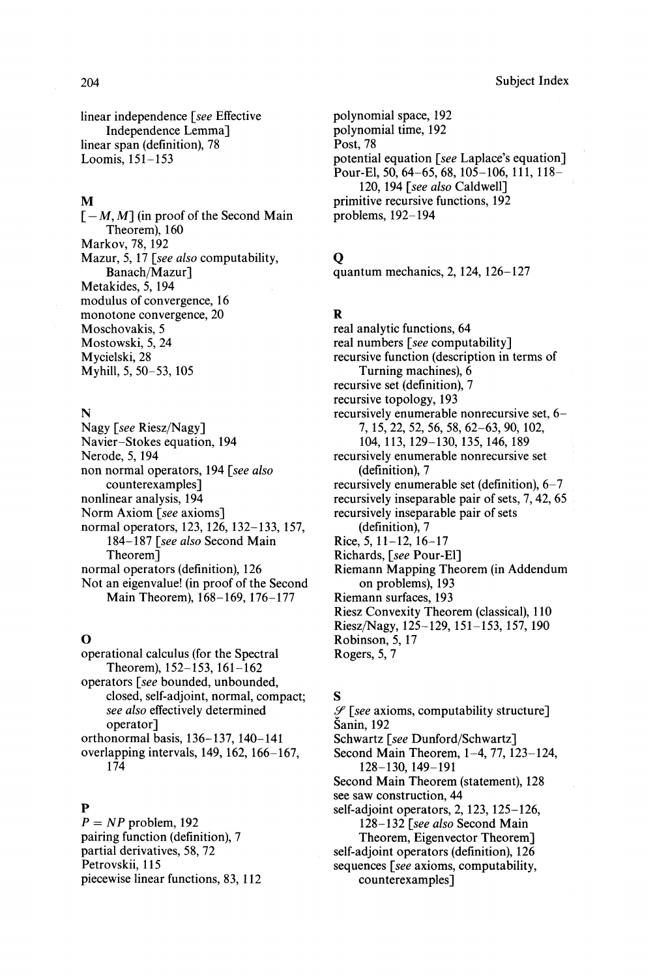204 Subject Index

linear independence *[see* Effective Independence Lemma] linear span (definition), 78 Loomis, 151-153

#### M

 $[-M, M]$  (in proof of the Second Main Theorem), 160 Markov, 78, 192 Mazur, 5, 17 *[see also* computability, Banach/Mazur] Metakides, 5, 194 modulus of convergence, 16 monotone convergence, 20 Moschovakis, 5 Mostowski, 5, 24 Mycielski, 28 Myhill, 5, 50-53, 105

#### N

Nagy *[see* Riesz/Nagy] Navier-Stokes equation, 194 Nerode, 5, 194 non normal operators, 194 *[see also* counterexamples] nonlinear analysis, 194 Norm Axiom *[see* axioms] normal operators, 123, 126, 132-133, 157, 184-187 *[see also* Second Main Theorem] normal operators (definition), 126 Not an eigenvalue! (in proof of the Second Main Theorem), 168-169, 176-177

#### O

operational calculus (for the Spectral Theorem), 152-153, 161-162 operators *[see* bounded, unbounded, closed, self-adjoint, normal, compact; *see also* effectively determined operator] orthonormal basis, 136-137, 140-141 overlapping intervals, 149, 162, 166-167, 174

#### $\mathbf{P}$

*P = NP* problem, 192 pairing function (definition), 7 partial derivatives, 58, 72 Petrovskii, 115 piecewise linear functions, 83, 112 polynomial space, 192 polynomial time, 192 Post, 78 potential equation *[see* Laplace's equation] Pour-El, 50, 64-65, 68, 105-106, 111, 118- 120, 194 *[see also* Caldwell] primitive recursive functions, 192 problems, 192-194

### O

quantum mechanics, 2,124, 126-127

### R

real analytic functions, 64 real numbers *[see* computability] recursive function (description in terms of Turning machines), 6 recursive set (definition), 7 recursive topology, 193 recursively enumerable nonrecursive set, 6- 7, 15, 22, 52, 56, 58, 62-63, 90, 102, 104, 113, 129-130, 135, 146, 189 recursively enumerable nonrecursive set (definition), 7 recursively enumerable set (definition), 6-7 recursively inseparable pair of sets, 7,42, 65 recursively inseparable pair of sets (definition), 7 Rice,  $5, 11-12, 16-17$ Richards, *[see* Pour-El] Riemann Mapping Theorem (in Addendum on problems), 193 Riemann surfaces, 193 Riesz Convexity Theorem (classical), 110 Riesz/Nagy, 125-129, 151-153, 157, 190 Robinson, 5, 17 Rogers, 5, 7

# S

- *Sf [see* axioms, computability structure] Sanin, 192
- Schwartz *[see* Dunford/Schwartz]
- Second Main Theorem, 1-4, 77, 123-124, 128-130,149-191
- Second Main Theorem (statement), 128
- see saw construction, 44

self-adjoint operators, 2, 123, 125-126, 128-132 *[see also* Second Main

Theorem, Eigenvector Theorem]

self-adjoint operators (definition), 126

sequences *[see* axioms, computability, counterexamples]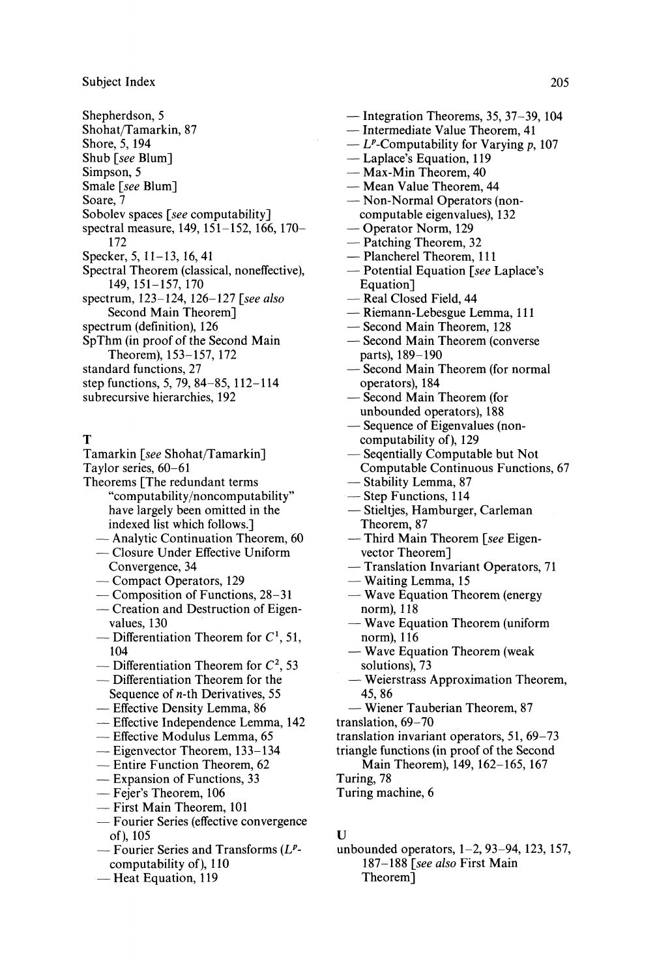- Shepherdson, 5 Shohat/Tamarkin, 87 Shore, 5, 194 Shub *[see* Blum] Simpson, 5 Smale *[see* Blum] Soare, 7 Sobolev spaces *[see* computability] spectral measure, 149, 151-152, 166, 170- 172 Specker, 5, 11-13, 16,41 Spectral Theorem (classical, noneffective), 149, 151-157, 170 spectrum, 123-124, 126-127 *[see also* Second Main Theorem] spectrum (definition), 126 SpThm (in proof of the Second Main Theorem), 153-157, 172 standard functions, 27 step functions, 5, 79, 84-85, 112-114
- subrecursive hierarchies, 192

#### т

- Tamarkin *[see* Shohat/Tamarkin]
- Taylor series, 60-61
- Theorems [The redundant terms "computability/noncomputability" have largely been omitted in the indexed list which follows.]
	- Analytic Continuation Theorem, 60
	- Closure Under Effective Uniform Convergence, 34
	- Compact Operators, 129
	- Composition of Functions, 28-31
	- Creation and Destruction of Eigenvalues, 130
	- Differentiation Theorem for  $C^1$ , 51, 104
	- Differentiation Theorem for  $C^2$ , 53
	- Differentiation Theorem for the Sequence of *n-ih* Derivatives, 55
	- Effective Density Lemma, 86
	-
	- Effective Independence Lemma, 142
	- Effective Modulus Lemma, 65
	- Eigenvector Theorem, 133-134
	- Entire Function Theorem, 62
	- Expansion of Functions, 33
	- Fejer's Theorem, 106
	- First Main Theorem, 101
	- Fourier Series (effective convergence of), 105
	- Fourier Series and Transforms *(L<sup>p</sup>*  computability of), 110
	- Heat Equation, 119
- Integration Theorems, 35, 37-39,104
- Intermediate Value Theorem, 41
- $-L^p$ -Computability for Varying p, 107
- Laplace's Equation, 119
- Max-Min Theorem, 40
- Mean Value Theorem, 44
- Non-Normal Operators (noncomputable eigenvalues), 132
- Operator Norm, 129
- Patching Theorem, 32
- Plancherel Theorem, 111
- Potential Equation *[see* Laplace's Equation]
- Real Closed Field, 44
- Riemann-Lebesgue Lemma, 111
- Second Main Theorem, 128
- Second Main Theorem (converse parts), 189-190
- Second Main Theorem (for normal operators), 184
- Second Main Theorem (for unbounded operators), 188
- Sequence of Eigenvalues (noncomputability of), 129
- Seqentially Computable but Not
- Computable Continuous Functions, 67
- Stability Lemma, 87
- Step Functions, 114
- Stieltjes, Hamburger, Carleman Theorem, 87
- Third Main Theorem *[see* Eigenvector Theorem]
- Translation Invariant Operators, 71
- Waiting Lemma, 15
- Wave Equation Theorem (energy norm), 118
- Wave Equation Theorem (uniform norm), 116
- Wave Equation Theorem (weak solutions), 73
- Weierstrass Approximation Theorem, 45,86
- Wiener Tauberian Theorem, 87
- translation, 69-70
- translation invariant operators, 51, 69-73
- triangle functions (in proof of the Second
	- Main Theorem), 149, 162-165, 167

Turing, 78

Turing machine, 6

#### $\mathbf{U}$

unbounded operators, 1-2, 93-94, 123, 157, 187-188 *[see also* First Main Theorem]